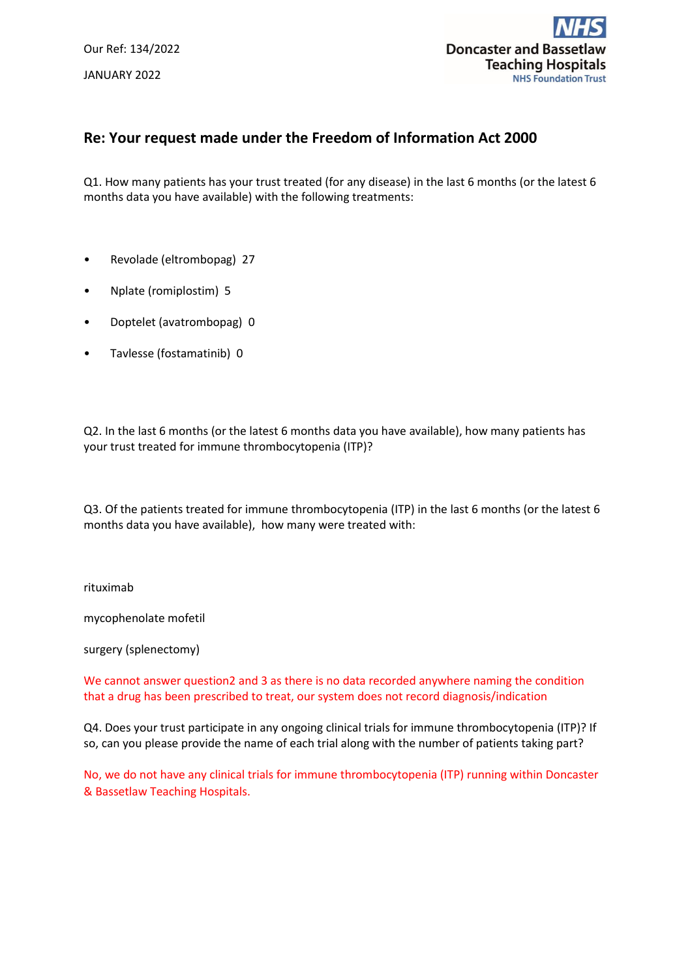Our Ref: 134/2022 JANUARY 2022



## **Re: Your request made under the Freedom of Information Act 2000**

Q1. How many patients has your trust treated (for any disease) in the last 6 months (or the latest 6 months data you have available) with the following treatments:

- Revolade (eltrombopag) 27
- Nplate (romiplostim) 5
- Doptelet (avatrombopag) 0
- Tavlesse (fostamatinib) 0

Q2. In the last 6 months (or the latest 6 months data you have available), how many patients has your trust treated for immune thrombocytopenia (ITP)?

Q3. Of the patients treated for immune thrombocytopenia (ITP) in the last 6 months (or the latest 6 months data you have available), how many were treated with:

rituximab

mycophenolate mofetil

surgery (splenectomy)

We cannot answer question2 and 3 as there is no data recorded anywhere naming the condition that a drug has been prescribed to treat, our system does not record diagnosis/indication

Q4. Does your trust participate in any ongoing clinical trials for immune thrombocytopenia (ITP)? If so, can you please provide the name of each trial along with the number of patients taking part?

No, we do not have any clinical trials for immune thrombocytopenia (ITP) running within Doncaster & Bassetlaw Teaching Hospitals.